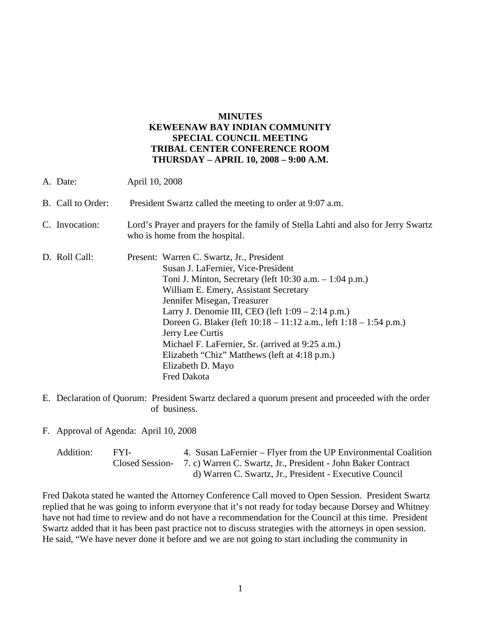### **MINUTES KEWEENAW BAY INDIAN COMMUNITY SPECIAL COUNCIL MEETING TRIBAL CENTER CONFERENCE ROOM THURSDAY – APRIL 10, 2008 – 9:00 A.M.**

| A. Date:          | April 10, 2008                                                                                                                                                                                                                                                                                                                                                                                                                                                                                                        |  |
|-------------------|-----------------------------------------------------------------------------------------------------------------------------------------------------------------------------------------------------------------------------------------------------------------------------------------------------------------------------------------------------------------------------------------------------------------------------------------------------------------------------------------------------------------------|--|
| B. Call to Order: | President Swartz called the meeting to order at 9:07 a.m.                                                                                                                                                                                                                                                                                                                                                                                                                                                             |  |
| C. Invocation:    | Lord's Prayer and prayers for the family of Stella Lahti and also for Jerry Swartz<br>who is home from the hospital.                                                                                                                                                                                                                                                                                                                                                                                                  |  |
| D. Roll Call:     | Present: Warren C. Swartz, Jr., President<br>Susan J. LaFernier, Vice-President<br>Toni J. Minton, Secretary (left $10:30$ a.m. $-1:04$ p.m.)<br>William E. Emery, Assistant Secretary<br>Jennifer Misegan, Treasurer<br>Larry J. Denomie III, CEO (left $1:09 - 2:14$ p.m.)<br>Doreen G. Blaker (left 10:18 – 11:12 a.m., left 1:18 – 1:54 p.m.)<br>Jerry Lee Curtis<br>Michael F. LaFernier, Sr. (arrived at 9:25 a.m.)<br>Elizabeth "Chiz" Matthews (left at 4:18 p.m.)<br>Elizabeth D. Mayo<br><b>Fred Dakota</b> |  |

E. Declaration of Quorum: President Swartz declared a quorum present and proceeded with the order of business.

F. Approval of Agenda: April 10, 2008

| Addition: | FYL- | 4. Susan LaFernier – Flyer from the UP Environmental Coalition               |
|-----------|------|------------------------------------------------------------------------------|
|           |      | Closed Session- 7. c) Warren C. Swartz, Jr., President - John Baker Contract |
|           |      | d) Warren C. Swartz, Jr., President - Executive Council                      |

Fred Dakota stated he wanted the Attorney Conference Call moved to Open Session. President Swartz replied that he was going to inform everyone that it's not ready for today because Dorsey and Whitney have not had time to review and do not have a recommendation for the Council at this time. President Swartz added that it has been past practice not to discuss strategies with the attorneys in open session. He said, "We have never done it before and we are not going to start including the community in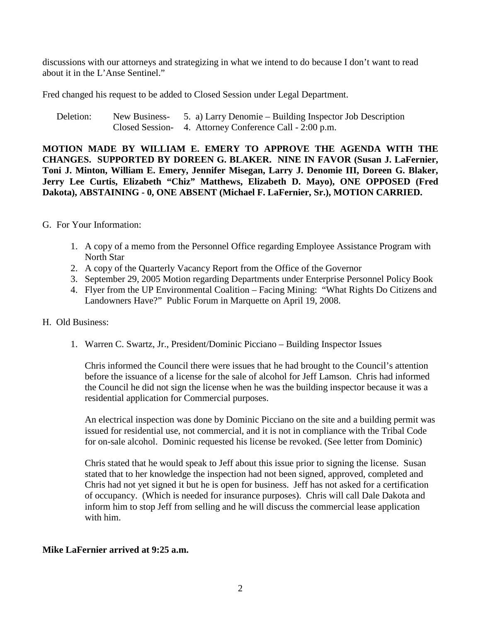discussions with our attorneys and strategizing in what we intend to do because I don't want to read about it in the L'Anse Sentinel."

Fred changed his request to be added to Closed Session under Legal Department.

Deletion: New Business- 5. a) Larry Denomie – Building Inspector Job Description Closed Session- 4. Attorney Conference Call - 2:00 p.m.

**MOTION MADE BY WILLIAM E. EMERY TO APPROVE THE AGENDA WITH THE CHANGES. SUPPORTED BY DOREEN G. BLAKER. NINE IN FAVOR (Susan J. LaFernier, Toni J. Minton, William E. Emery, Jennifer Misegan, Larry J. Denomie III, Doreen G. Blaker, Jerry Lee Curtis, Elizabeth "Chiz" Matthews, Elizabeth D. Mayo), ONE OPPOSED (Fred Dakota), ABSTAINING - 0, ONE ABSENT (Michael F. LaFernier, Sr.), MOTION CARRIED.**

### G. For Your Information:

- 1. A copy of a memo from the Personnel Office regarding Employee Assistance Program with North Star
- 2. A copy of the Quarterly Vacancy Report from the Office of the Governor
- 3. September 29, 2005 Motion regarding Departments under Enterprise Personnel Policy Book
- 4. Flyer from the UP Environmental Coalition Facing Mining: "What Rights Do Citizens and Landowners Have?" Public Forum in Marquette on April 19, 2008.

# H. Old Business:

1. Warren C. Swartz, Jr., President/Dominic Picciano – Building Inspector Issues

Chris informed the Council there were issues that he had brought to the Council's attention before the issuance of a license for the sale of alcohol for Jeff Lamson. Chris had informed the Council he did not sign the license when he was the building inspector because it was a residential application for Commercial purposes.

An electrical inspection was done by Dominic Picciano on the site and a building permit was issued for residential use, not commercial, and it is not in compliance with the Tribal Code for on-sale alcohol. Dominic requested his license be revoked. (See letter from Dominic)

Chris stated that he would speak to Jeff about this issue prior to signing the license. Susan stated that to her knowledge the inspection had not been signed, approved, completed and Chris had not yet signed it but he is open for business. Jeff has not asked for a certification of occupancy. (Which is needed for insurance purposes). Chris will call Dale Dakota and inform him to stop Jeff from selling and he will discuss the commercial lease application with him.

# **Mike LaFernier arrived at 9:25 a.m.**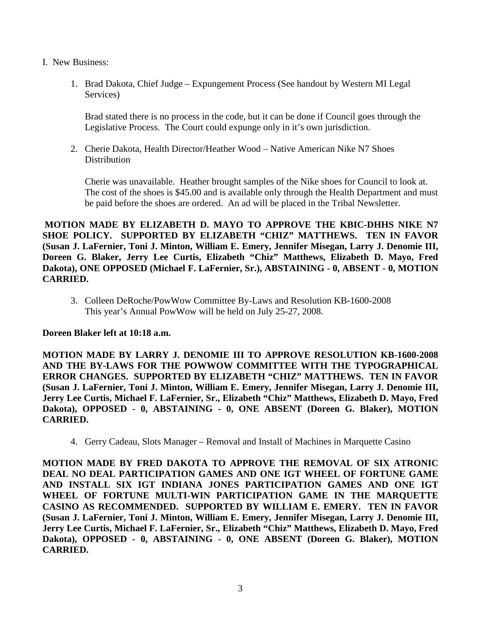- I. New Business:
	- 1. Brad Dakota, Chief Judge Expungement Process (See handout by Western MI Legal Services)

Brad stated there is no process in the code, but it can be done if Council goes through the Legislative Process. The Court could expunge only in it's own jurisdiction.

2. Cherie Dakota, Health Director/Heather Wood – Native American Nike N7 Shoes **Distribution** 

Cherie was unavailable. Heather brought samples of the Nike shoes for Council to look at. The cost of the shoes is \$45.00 and is available only through the Health Department and must be paid before the shoes are ordered. An ad will be placed in the Tribal Newsletter.

**MOTION MADE BY ELIZABETH D. MAYO TO APPROVE THE KBIC-DHHS NIKE N7 SHOE POLICY. SUPPORTED BY ELIZABETH "CHIZ" MATTHEWS. TEN IN FAVOR (Susan J. LaFernier, Toni J. Minton, William E. Emery, Jennifer Misegan, Larry J. Denomie III, Doreen G. Blaker, Jerry Lee Curtis, Elizabeth "Chiz" Matthews, Elizabeth D. Mayo, Fred Dakota), ONE OPPOSED (Michael F. LaFernier, Sr.), ABSTAINING - 0, ABSENT - 0, MOTION CARRIED.**

3. Colleen DeRoche/PowWow Committee By-Laws and Resolution KB-1600-2008 This year's Annual PowWow will be held on July 25-27, 2008.

# **Doreen Blaker left at 10:18 a.m.**

**MOTION MADE BY LARRY J. DENOMIE III TO APPROVE RESOLUTION KB-1600-2008 AND THE BY-LAWS FOR THE POWWOW COMMITTEE WITH THE TYPOGRAPHICAL ERROR CHANGES. SUPPORTED BY ELIZABETH "CHIZ" MATTHEWS. TEN IN FAVOR (Susan J. LaFernier, Toni J. Minton, William E. Emery, Jennifer Misegan, Larry J. Denomie III, Jerry Lee Curtis, Michael F. LaFernier, Sr., Elizabeth "Chiz" Matthews, Elizabeth D. Mayo, Fred Dakota), OPPOSED - 0, ABSTAINING - 0, ONE ABSENT (Doreen G. Blaker), MOTION CARRIED.**

4. Gerry Cadeau, Slots Manager – Removal and Install of Machines in Marquette Casino

**MOTION MADE BY FRED DAKOTA TO APPROVE THE REMOVAL OF SIX ATRONIC DEAL NO DEAL PARTICIPATION GAMES AND ONE IGT WHEEL OF FORTUNE GAME AND INSTALL SIX IGT INDIANA JONES PARTICIPATION GAMES AND ONE IGT WHEEL OF FORTUNE MULTI-WIN PARTICIPATION GAME IN THE MARQUETTE CASINO AS RECOMMENDED. SUPPORTED BY WILLIAM E. EMERY. TEN IN FAVOR (Susan J. LaFernier, Toni J. Minton, William E. Emery, Jennifer Misegan, Larry J. Denomie III, Jerry Lee Curtis, Michael F. LaFernier, Sr., Elizabeth "Chiz" Matthews, Elizabeth D. Mayo, Fred Dakota), OPPOSED - 0, ABSTAINING - 0, ONE ABSENT (Doreen G. Blaker), MOTION CARRIED.**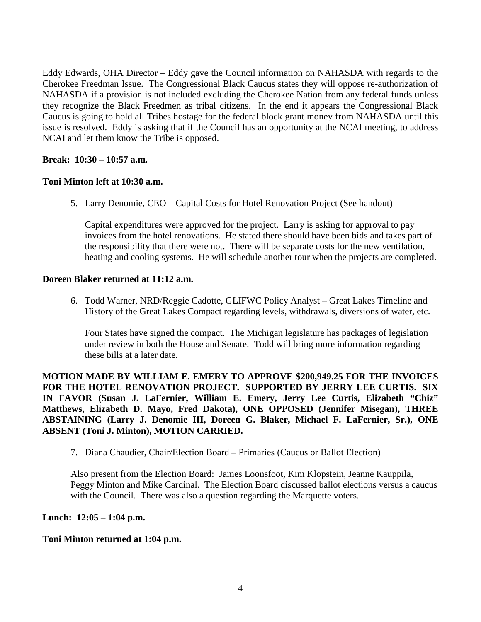Eddy Edwards, OHA Director – Eddy gave the Council information on NAHASDA with regards to the Cherokee Freedman Issue. The Congressional Black Caucus states they will oppose re-authorization of NAHASDA if a provision is not included excluding the Cherokee Nation from any federal funds unless they recognize the Black Freedmen as tribal citizens. In the end it appears the Congressional Black Caucus is going to hold all Tribes hostage for the federal block grant money from NAHASDA until this issue is resolved. Eddy is asking that if the Council has an opportunity at the NCAI meeting, to address NCAI and let them know the Tribe is opposed.

### **Break: 10:30 – 10:57 a.m.**

# **Toni Minton left at 10:30 a.m.**

5. Larry Denomie, CEO – Capital Costs for Hotel Renovation Project (See handout)

Capital expenditures were approved for the project. Larry is asking for approval to pay invoices from the hotel renovations. He stated there should have been bids and takes part of the responsibility that there were not. There will be separate costs for the new ventilation, heating and cooling systems. He will schedule another tour when the projects are completed.

#### **Doreen Blaker returned at 11:12 a.m.**

6. Todd Warner, NRD/Reggie Cadotte, GLIFWC Policy Analyst – Great Lakes Timeline and History of the Great Lakes Compact regarding levels, withdrawals, diversions of water, etc.

Four States have signed the compact. The Michigan legislature has packages of legislation under review in both the House and Senate. Todd will bring more information regarding these bills at a later date.

**MOTION MADE BY WILLIAM E. EMERY TO APPROVE \$200,949.25 FOR THE INVOICES FOR THE HOTEL RENOVATION PROJECT. SUPPORTED BY JERRY LEE CURTIS. SIX IN FAVOR (Susan J. LaFernier, William E. Emery, Jerry Lee Curtis, Elizabeth "Chiz" Matthews, Elizabeth D. Mayo, Fred Dakota), ONE OPPOSED (Jennifer Misegan), THREE ABSTAINING (Larry J. Denomie III, Doreen G. Blaker, Michael F. LaFernier, Sr.), ONE ABSENT (Toni J. Minton), MOTION CARRIED.**

7. Diana Chaudier, Chair/Election Board – Primaries (Caucus or Ballot Election)

Also present from the Election Board: James Loonsfoot, Kim Klopstein, Jeanne Kauppila, Peggy Minton and Mike Cardinal. The Election Board discussed ballot elections versus a caucus with the Council. There was also a question regarding the Marquette voters.

#### **Lunch: 12:05 – 1:04 p.m.**

#### **Toni Minton returned at 1:04 p.m.**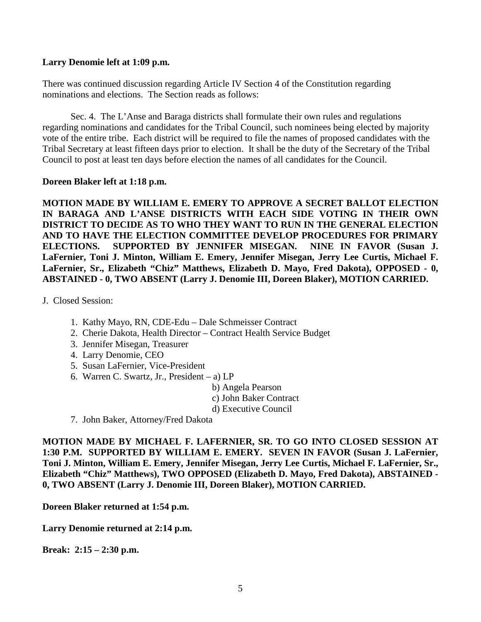#### **Larry Denomie left at 1:09 p.m.**

There was continued discussion regarding Article IV Section 4 of the Constitution regarding nominations and elections. The Section reads as follows:

Sec. 4. The L'Anse and Baraga districts shall formulate their own rules and regulations regarding nominations and candidates for the Tribal Council, such nominees being elected by majority vote of the entire tribe. Each district will be required to file the names of proposed candidates with the Tribal Secretary at least fifteen days prior to election. It shall be the duty of the Secretary of the Tribal Council to post at least ten days before election the names of all candidates for the Council.

#### **Doreen Blaker left at 1:18 p.m.**

**MOTION MADE BY WILLIAM E. EMERY TO APPROVE A SECRET BALLOT ELECTION IN BARAGA AND L'ANSE DISTRICTS WITH EACH SIDE VOTING IN THEIR OWN DISTRICT TO DECIDE AS TO WHO THEY WANT TO RUN IN THE GENERAL ELECTION AND TO HAVE THE ELECTION COMMITTEE DEVELOP PROCEDURES FOR PRIMARY ELECTIONS. SUPPORTED BY JENNIFER MISEGAN. NINE IN FAVOR (Susan J. LaFernier, Toni J. Minton, William E. Emery, Jennifer Misegan, Jerry Lee Curtis, Michael F. LaFernier, Sr., Elizabeth "Chiz" Matthews, Elizabeth D. Mayo, Fred Dakota), OPPOSED - 0, ABSTAINED - 0, TWO ABSENT (Larry J. Denomie III, Doreen Blaker), MOTION CARRIED.** 

J. Closed Session:

- 1. Kathy Mayo, RN, CDE-Edu Dale Schmeisser Contract
- 2. Cherie Dakota, Health Director Contract Health Service Budget
- 3. Jennifer Misegan, Treasurer
- 4. Larry Denomie, CEO
- 5. Susan LaFernier, Vice-President
- 6. Warren C. Swartz, Jr., President a) LP
	- b) Angela Pearson
	- c) John Baker Contract
	- d) Executive Council
- 7. John Baker, Attorney/Fred Dakota

**MOTION MADE BY MICHAEL F. LAFERNIER, SR. TO GO INTO CLOSED SESSION AT 1:30 P.M. SUPPORTED BY WILLIAM E. EMERY. SEVEN IN FAVOR (Susan J. LaFernier, Toni J. Minton, William E. Emery, Jennifer Misegan, Jerry Lee Curtis, Michael F. LaFernier, Sr., Elizabeth "Chiz" Matthews), TWO OPPOSED (Elizabeth D. Mayo, Fred Dakota), ABSTAINED - 0, TWO ABSENT (Larry J. Denomie III, Doreen Blaker), MOTION CARRIED.** 

**Doreen Blaker returned at 1:54 p.m.**

**Larry Denomie returned at 2:14 p.m.**

**Break: 2:15 – 2:30 p.m.**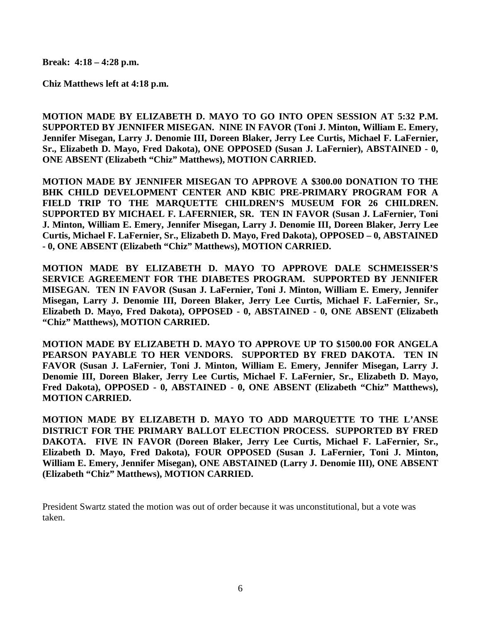**Break: 4:18 – 4:28 p.m.**

**Chiz Matthews left at 4:18 p.m.**

**MOTION MADE BY ELIZABETH D. MAYO TO GO INTO OPEN SESSION AT 5:32 P.M. SUPPORTED BY JENNIFER MISEGAN. NINE IN FAVOR (Toni J. Minton, William E. Emery, Jennifer Misegan, Larry J. Denomie III, Doreen Blaker, Jerry Lee Curtis, Michael F. LaFernier, Sr., Elizabeth D. Mayo, Fred Dakota), ONE OPPOSED (Susan J. LaFernier), ABSTAINED - 0, ONE ABSENT (Elizabeth "Chiz" Matthews), MOTION CARRIED.** 

**MOTION MADE BY JENNIFER MISEGAN TO APPROVE A \$300.00 DONATION TO THE BHK CHILD DEVELOPMENT CENTER AND KBIC PRE-PRIMARY PROGRAM FOR A FIELD TRIP TO THE MARQUETTE CHILDREN'S MUSEUM FOR 26 CHILDREN. SUPPORTED BY MICHAEL F. LAFERNIER, SR. TEN IN FAVOR (Susan J. LaFernier, Toni J. Minton, William E. Emery, Jennifer Misegan, Larry J. Denomie III, Doreen Blaker, Jerry Lee Curtis, Michael F. LaFernier, Sr., Elizabeth D. Mayo, Fred Dakota), OPPOSED – 0, ABSTAINED - 0, ONE ABSENT (Elizabeth "Chiz" Matthews), MOTION CARRIED.** 

**MOTION MADE BY ELIZABETH D. MAYO TO APPROVE DALE SCHMEISSER'S SERVICE AGREEMENT FOR THE DIABETES PROGRAM. SUPPORTED BY JENNIFER MISEGAN. TEN IN FAVOR (Susan J. LaFernier, Toni J. Minton, William E. Emery, Jennifer Misegan, Larry J. Denomie III, Doreen Blaker, Jerry Lee Curtis, Michael F. LaFernier, Sr., Elizabeth D. Mayo, Fred Dakota), OPPOSED - 0, ABSTAINED - 0, ONE ABSENT (Elizabeth "Chiz" Matthews), MOTION CARRIED.** 

**MOTION MADE BY ELIZABETH D. MAYO TO APPROVE UP TO \$1500.00 FOR ANGELA PEARSON PAYABLE TO HER VENDORS. SUPPORTED BY FRED DAKOTA. TEN IN FAVOR (Susan J. LaFernier, Toni J. Minton, William E. Emery, Jennifer Misegan, Larry J. Denomie III, Doreen Blaker, Jerry Lee Curtis, Michael F. LaFernier, Sr., Elizabeth D. Mayo, Fred Dakota), OPPOSED - 0, ABSTAINED - 0, ONE ABSENT (Elizabeth "Chiz" Matthews), MOTION CARRIED.** 

**MOTION MADE BY ELIZABETH D. MAYO TO ADD MARQUETTE TO THE L'ANSE DISTRICT FOR THE PRIMARY BALLOT ELECTION PROCESS. SUPPORTED BY FRED DAKOTA. FIVE IN FAVOR (Doreen Blaker, Jerry Lee Curtis, Michael F. LaFernier, Sr., Elizabeth D. Mayo, Fred Dakota), FOUR OPPOSED (Susan J. LaFernier, Toni J. Minton, William E. Emery, Jennifer Misegan), ONE ABSTAINED (Larry J. Denomie III), ONE ABSENT (Elizabeth "Chiz" Matthews), MOTION CARRIED.** 

President Swartz stated the motion was out of order because it was unconstitutional, but a vote was taken.